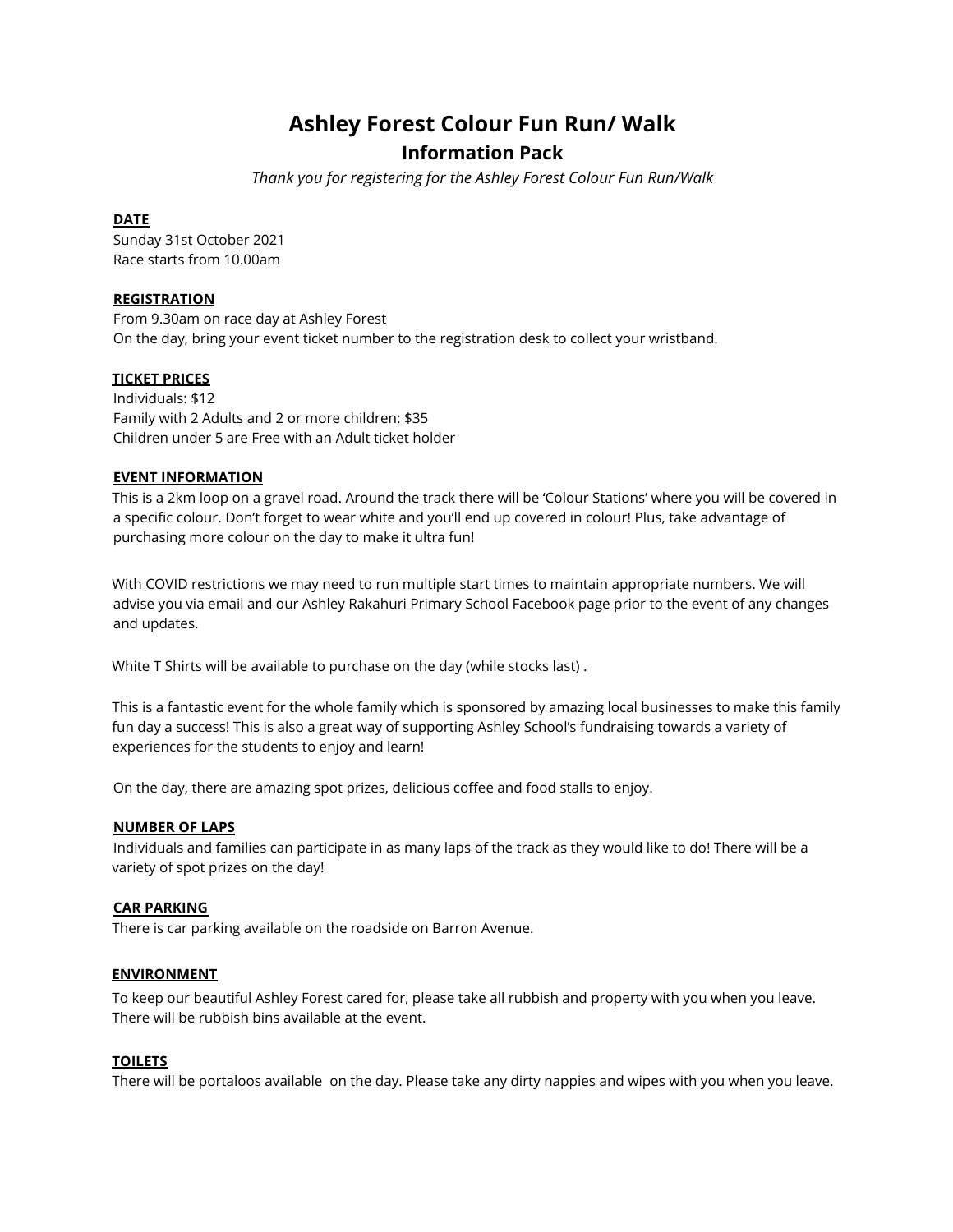# **Ashley Forest Colour Fun Run/ Walk**

## **Information Pack**

*Thank you for registering for the Ashley Forest Colour Fun Run/Walk*

## **DATE**

Sunday 31st October 2021 Race starts from 10.00am

#### **REGISTRATION**

From 9.30am on race day at Ashley Forest On the day, bring your event ticket number to the registration desk to collect your wristband.

## **TICKET PRICES**

Individuals: \$12 Family with 2 Adults and 2 or more children: \$35 Children under 5 are Free with an Adult ticket holder

### **EVENT INFORMATION**

This is a 2km loop on a gravel road. Around the track there will be 'Colour Stations' where you will be covered in a specific colour. Don't forget to wear white and you'll end up covered in colour! Plus, take advantage of purchasing more colour on the day to make it ultra fun!

With COVID restrictions we may need to run multiple start times to maintain appropriate numbers. We will advise you via email and our Ashley Rakahuri Primary School Facebook page prior to the event of any changes and updates.

White T Shirts will be available to purchase on the day (while stocks last) .

This is a fantastic event for the whole family which is sponsored by amazing local businesses to make this family fun day a success! This is also a great way of supporting Ashley School's fundraising towards a variety of experiences for the students to enjoy and learn!

On the day, there are amazing spot prizes, delicious coffee and food stalls to enjoy.

## **NUMBER OF LAPS**

Individuals and families can participate in as many laps of the track as they would like to do! There will be a variety of spot prizes on the day!

#### **CAR PARKING**

There is car parking available on the roadside on Barron Avenue.

#### **ENVIRONMENT**

To keep our beautiful Ashley Forest cared for, please take all rubbish and property with you when you leave. There will be rubbish bins available at the event.

## **TOILETS**

There will be portaloos available on the day. Please take any dirty nappies and wipes with you when you leave.